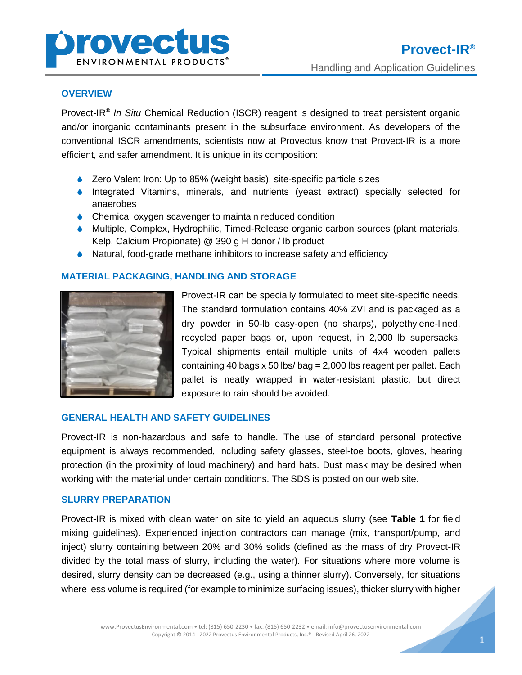

### **OVERVIEW**

Provect-IR® *In Situ* Chemical Reduction (ISCR) reagent is designed to treat persistent organic and/or inorganic contaminants present in the subsurface environment. As developers of the conventional ISCR amendments, scientists now at Provectus know that Provect-IR is a more efficient, and safer amendment. It is unique in its composition:

- Zero Valent Iron: Up to 85% (weight basis), site-specific particle sizes
- Integrated Vitamins, minerals, and nutrients (yeast extract) specially selected for anaerobes
- ♦ Chemical oxygen scavenger to maintain reduced condition
- Multiple, Complex, Hydrophilic, Timed-Release organic carbon sources (plant materials, Kelp, Calcium Propionate) @ 390 g H donor / lb product
- ♦ Natural, food-grade methane inhibitors to increase safety and efficiency

## **MATERIAL PACKAGING, HANDLING AND STORAGE**



Provect-IR can be specially formulated to meet site-specific needs. The standard formulation contains 40% ZVI and is packaged as a dry powder in 50-lb easy-open (no sharps), polyethylene-lined, recycled paper bags or, upon request, in 2,000 lb supersacks. Typical shipments entail multiple units of 4x4 wooden pallets containing 40 bags x 50 lbs/ bag = 2,000 lbs reagent per pallet. Each pallet is neatly wrapped in water-resistant plastic, but direct exposure to rain should be avoided.

## **GENERAL HEALTH AND SAFETY GUIDELINES**

Provect-IR is non-hazardous and safe to handle. The use of standard personal protective equipment is always recommended, including safety glasses, steel-toe boots, gloves, hearing protection (in the proximity of loud machinery) and hard hats. Dust mask may be desired when working with the material under certain conditions. The SDS is posted on our web site.

#### **SLURRY PREPARATION**

Provect-IR is mixed with clean water on site to yield an aqueous slurry (see **Table 1** for field mixing guidelines). Experienced injection contractors can manage (mix, transport/pump, and inject) slurry containing between 20% and 30% solids (defined as the mass of dry Provect-IR divided by the total mass of slurry, including the water). For situations where more volume is desired, slurry density can be decreased (e.g., using a thinner slurry). Conversely, for situations where less volume is required (for example to minimize surfacing issues), thicker slurry with higher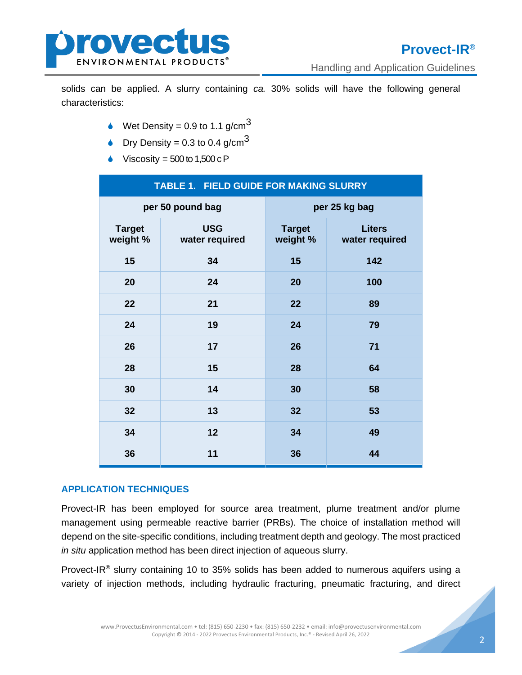

Handling and Application Guidelines

solids can be applied. A slurry containing *ca.* 30% solids will have the following general characteristics:

- $\bullet$  Wet Density = 0.9 to 1.1 g/cm<sup>3</sup>
- **Dry Density = 0.3 to 0.4 g/cm**<sup>3</sup>
- Viscosity =  $500$  to  $1,500$  c P

| TABLE 1. FIELD GUIDE FOR MAKING SLURRY |                              |                           |                                 |
|----------------------------------------|------------------------------|---------------------------|---------------------------------|
| per 50 pound bag                       |                              | per 25 kg bag             |                                 |
| <b>Target</b><br>weight %              | <b>USG</b><br>water required | <b>Target</b><br>weight % | <b>Liters</b><br>water required |
| 15                                     | 34                           | 15                        | 142                             |
| 20                                     | 24                           | 20                        | 100                             |
| 22                                     | 21                           | 22                        | 89                              |
| 24                                     | 19                           | 24                        | 79                              |
| 26                                     | 17                           | 26                        | 71                              |
| 28                                     | 15                           | 28                        | 64                              |
| 30                                     | 14                           | 30                        | 58                              |
| 32                                     | 13                           | 32                        | 53                              |
| 34                                     | 12                           | 34                        | 49                              |
| 36                                     | 11                           | 36                        | 44                              |

## **APPLICATION TECHNIQUES**

Provect-IR has been employed for source area treatment, plume treatment and/or plume management using permeable reactive barrier (PRBs). The choice of installation method will depend on the site-specific conditions, including treatment depth and geology. The most practiced *in situ* application method has been direct injection of aqueous slurry.

Provect-IR® slurry containing 10 to 35% solids has been added to numerous aquifers using a variety of injection methods, including hydraulic fracturing, pneumatic fracturing, and direct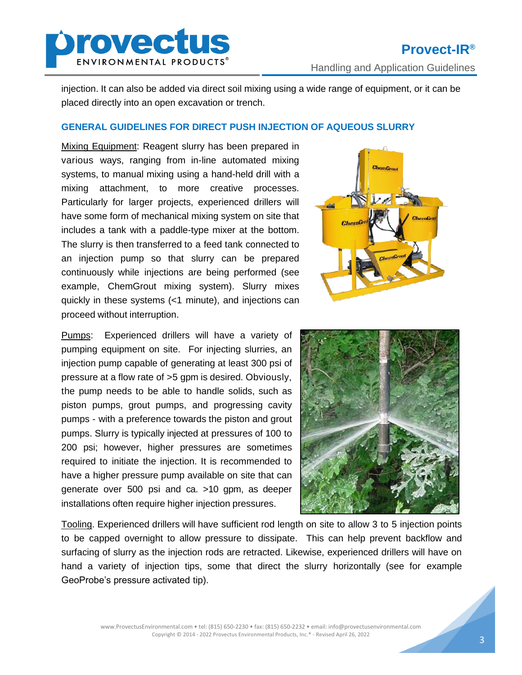

injection. It can also be added via direct soil mixing using a wide range of equipment, or it can be placed directly into an open excavation or trench.

## **GENERAL GUIDELINES FOR DIRECT PUSH INJECTION OF AQUEOUS SLURRY**

Mixing Equipment: Reagent slurry has been prepared in various ways, ranging from in-line automated mixing systems, to manual mixing using a hand-held drill with a mixing attachment, to more creative processes. Particularly for larger projects, experienced drillers will have some form of mechanical mixing system on site that includes a tank with a paddle-type mixer at the bottom. The slurry is then transferred to a feed tank connected to an injection pump so that slurry can be prepared continuously while injections are being performed (see example, ChemGrout mixing system). Slurry mixes quickly in these systems (<1 minute), and injections can proceed without interruption.



Pumps: Experienced drillers will have a variety of pumping equipment on site. For injecting slurries, an injection pump capable of generating at least 300 psi of pressure at a flow rate of >5 gpm is desired. Obviously, the pump needs to be able to handle solids, such as piston pumps, grout pumps, and progressing cavity pumps - with a preference towards the piston and grout pumps. Slurry is typically injected at pressures of 100 to 200 psi; however, higher pressures are sometimes required to initiate the injection. It is recommended to have a higher pressure pump available on site that can generate over 500 psi and ca. >10 gpm, as deeper installations often require higher injection pressures.



Tooling. Experienced drillers will have sufficient rod length on site to allow 3 to 5 injection points to be capped overnight to allow pressure to dissipate. This can help prevent backflow and surfacing of slurry as the injection rods are retracted. Likewise, experienced drillers will have on hand a variety of injection tips, some that direct the slurry horizontally (see for example GeoProbe's pressure activated tip).